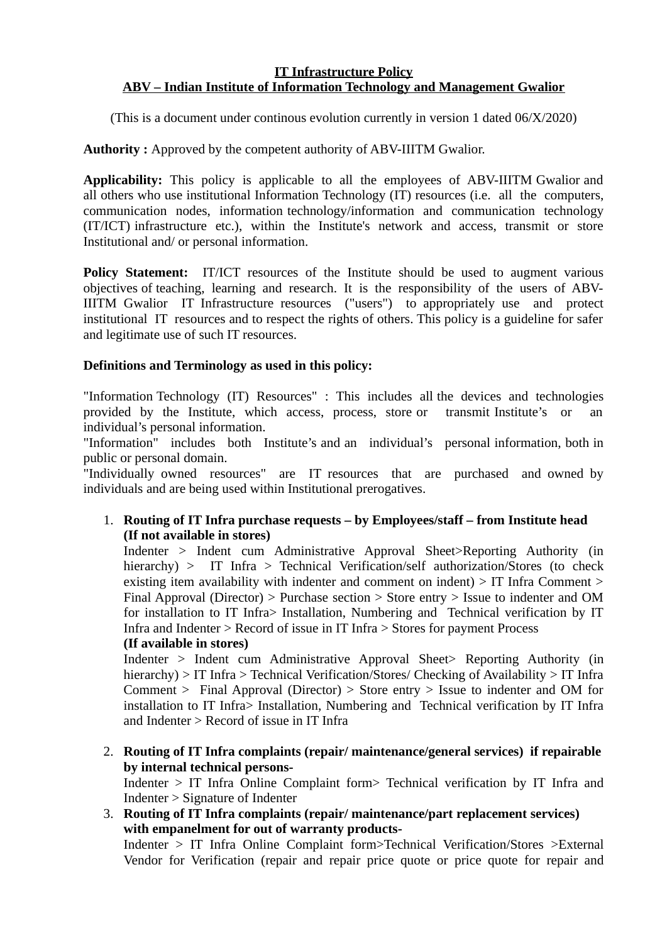## **IT Infrastructure Policy ABV – Indian Institute of Information Technology and Management Gwalior**

(This is a document under continous evolution currently in version 1 dated 06/X/2020)

**Authority :** Approved by the competent authority of ABV-IIITM Gwalior.

**Applicability:** This policy is applicable to all the employees of ABV-IIITM Gwalior and all others who use institutional Information Technology (IT) resources (i.e. all the computers, communication nodes, information technology/information and communication technology (IT/ICT) infrastructure etc.), within the Institute's network and access, transmit or store Institutional and/ or personal information.

**Policy Statement:** IT/ICT resources of the Institute should be used to augment various objectives of teaching, learning and research. It is the responsibility of the users of ABV-IIITM Gwalior IT Infrastructure resources ("users") to appropriately use and protect institutional IT resources and to respect the rights of others. This policy is a guideline for safer and legitimate use of such IT resources.

# **Definitions and Terminology as used in this policy:**

"Information Technology (IT) Resources" : This includes all the devices and technologies provided by the Institute, which access, process, store or transmit Institute's or an individual's personal information.

"Information" includes both Institute's and an individual's personal information, both in public or personal domain.

"Individually owned resources" are IT resources that are purchased and owned by individuals and are being used within Institutional prerogatives.

# 1. **Routing of IT Infra purchase requests – by Employees/staff – from Institute head (If not available in stores)**

Indenter > Indent cum Administrative Approval Sheet>Reporting Authority (in hierarchy) > IT Infra > Technical Verification/self authorization/Stores (to check existing item availability with indenter and comment on indent) > IT Infra Comment > Final Approval (Director) > Purchase section > Store entry > Issue to indenter and OM for installation to IT Infra> Installation, Numbering and Technical verification by IT Infra and Indenter > Record of issue in IT Infra > Stores for payment Process

# **(If available in stores)**

Indenter > Indent cum Administrative Approval Sheet> Reporting Authority (in hierarchy) > IT Infra > Technical Verification/Stores/ Checking of Availability > IT Infra Comment > Final Approval (Director) > Store entry > Issue to indenter and OM for installation to IT Infra> Installation, Numbering and Technical verification by IT Infra and Indenter > Record of issue in IT Infra

2. **Routing of IT Infra complaints (repair/ maintenance/general services) if repairable by internal technical persons-**

Indenter > IT Infra Online Complaint form> Technical verification by IT Infra and Indenter > Signature of Indenter

3. **Routing of IT Infra complaints (repair/ maintenance/part replacement services) with empanelment for out of warranty products-**

Indenter > IT Infra Online Complaint form>Technical Verification/Stores >External Vendor for Verification (repair and repair price quote or price quote for repair and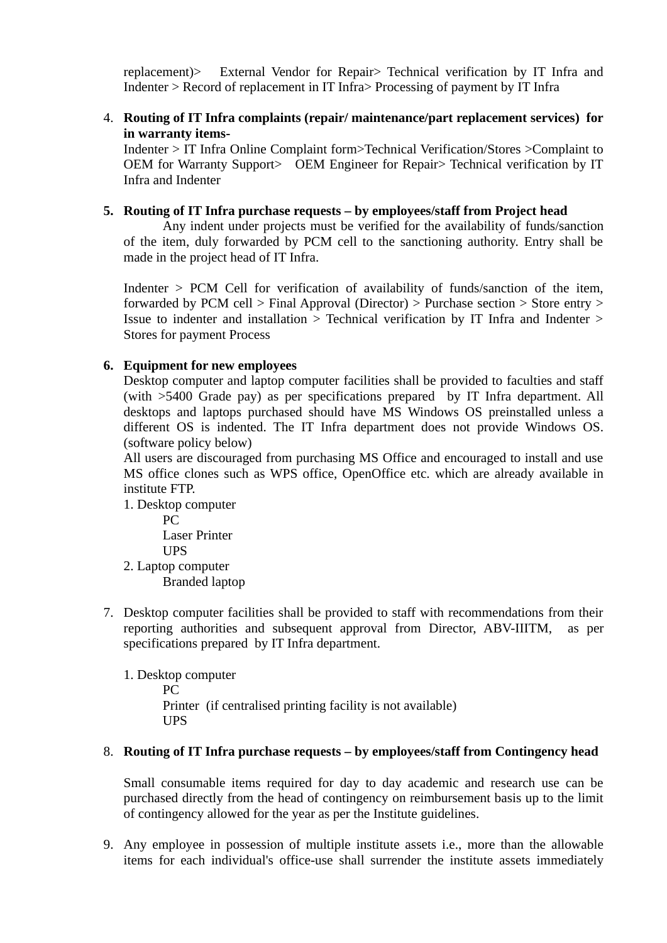replacement)> External Vendor for Repair> Technical verification by IT Infra and Indenter > Record of replacement in IT Infra> Processing of payment by IT Infra

4. **Routing of IT Infra complaints (repair/ maintenance/part replacement services) for in warranty items-**

Indenter > IT Infra Online Complaint form>Technical Verification/Stores >Complaint to OEM for Warranty Support> OEM Engineer for Repair> Technical verification by IT Infra and Indenter

# **5. Routing of IT Infra purchase requests – by employees/staff from Project head**

Any indent under projects must be verified for the availability of funds/sanction of the item, duly forwarded by PCM cell to the sanctioning authority. Entry shall be made in the project head of IT Infra.

Indenter > PCM Cell for verification of availability of funds/sanction of the item, forwarded by PCM cell > Final Approval (Director) > Purchase section > Store entry > Issue to indenter and installation > Technical verification by IT Infra and Indenter > Stores for payment Process

# **6. Equipment for new employees**

Desktop computer and laptop computer facilities shall be provided to faculties and staff (with >5400 Grade pay) as per specifications prepared by IT Infra department. All desktops and laptops purchased should have MS Windows OS preinstalled unless a different OS is indented. The IT Infra department does not provide Windows OS. (software policy below)

All users are discouraged from purchasing MS Office and encouraged to install and use MS office clones such as WPS office, OpenOffice etc. which are already available in institute FTP.

1. Desktop computer

PC Laser Printer

UPS

2. Laptop computer Branded laptop

7. Desktop computer facilities shall be provided to staff with recommendations from their reporting authorities and subsequent approval from Director, ABV-IIITM, as per specifications prepared by IT Infra department.

1. Desktop computer PC Printer (if centralised printing facility is not available) UPS

# 8. **Routing of IT Infra purchase requests – by employees/staff from Contingency head**

Small consumable items required for day to day academic and research use can be purchased directly from the head of contingency on reimbursement basis up to the limit of contingency allowed for the year as per the Institute guidelines.

9. Any employee in possession of multiple institute assets i.e., more than the allowable items for each individual's office-use shall surrender the institute assets immediately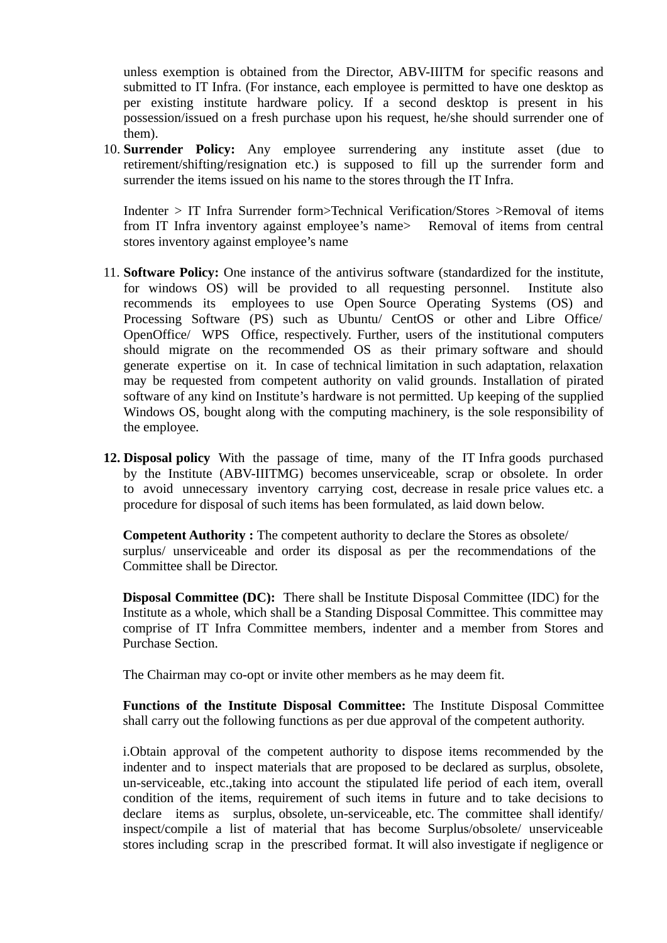unless exemption is obtained from the Director, ABV-IIITM for specific reasons and submitted to IT Infra. (For instance, each employee is permitted to have one desktop as per existing institute hardware policy. If a second desktop is present in his possession/issued on a fresh purchase upon his request, he/she should surrender one of them).

10. **Surrender Policy:** Any employee surrendering any institute asset (due to retirement/shifting/resignation etc.) is supposed to fill up the surrender form and surrender the items issued on his name to the stores through the IT Infra.

Indenter > IT Infra Surrender form>Technical Verification/Stores >Removal of items from IT Infra inventory against employee's name> Removal of items from central stores inventory against employee's name

- 11. **Software Policy:** One instance of the antivirus software (standardized for the institute, for windows OS) will be provided to all requesting personnel. Institute also recommends its employees to use Open Source Operating Systems (OS) and Processing Software (PS) such as Ubuntu/ CentOS or other and Libre Office/ OpenOffice/ WPS Office, respectively. Further, users of the institutional computers should migrate on the recommended OS as their primary software and should generate expertise on it. In case of technical limitation in such adaptation, relaxation may be requested from competent authority on valid grounds. Installation of pirated software of any kind on Institute's hardware is not permitted. Up keeping of the supplied Windows OS, bought along with the computing machinery, is the sole responsibility of the employee.
- **12. Disposal policy** With the passage of time, many of the IT Infra goods purchased by the Institute (ABV-IIITMG) becomes unserviceable, scrap or obsolete. In order to avoid unnecessary inventory carrying cost, decrease in resale price values etc. a procedure for disposal of such items has been formulated, as laid down below.

**Competent Authority :** The competent authority to declare the Stores as obsolete/ surplus/ unserviceable and order its disposal as per the recommendations of the Committee shall be Director.

**Disposal Committee (DC):** There shall be Institute Disposal Committee (IDC) for the Institute as a whole, which shall be a Standing Disposal Committee. This committee may comprise of IT Infra Committee members, indenter and a member from Stores and Purchase Section.

The Chairman may co-opt or invite other members as he may deem fit.

**Functions of the Institute Disposal Committee:** The Institute Disposal Committee shall carry out the following functions as per due approval of the competent authority.

i.Obtain approval of the competent authority to dispose items recommended by the indenter and to inspect materials that are proposed to be declared as surplus, obsolete, un-serviceable, etc.,taking into account the stipulated life period of each item, overall condition of the items, requirement of such items in future and to take decisions to declare items as surplus, obsolete, un-serviceable, etc. The committee shall identify/ inspect/compile a list of material that has become Surplus/obsolete/ unserviceable stores including scrap in the prescribed format. It will also investigate if negligence or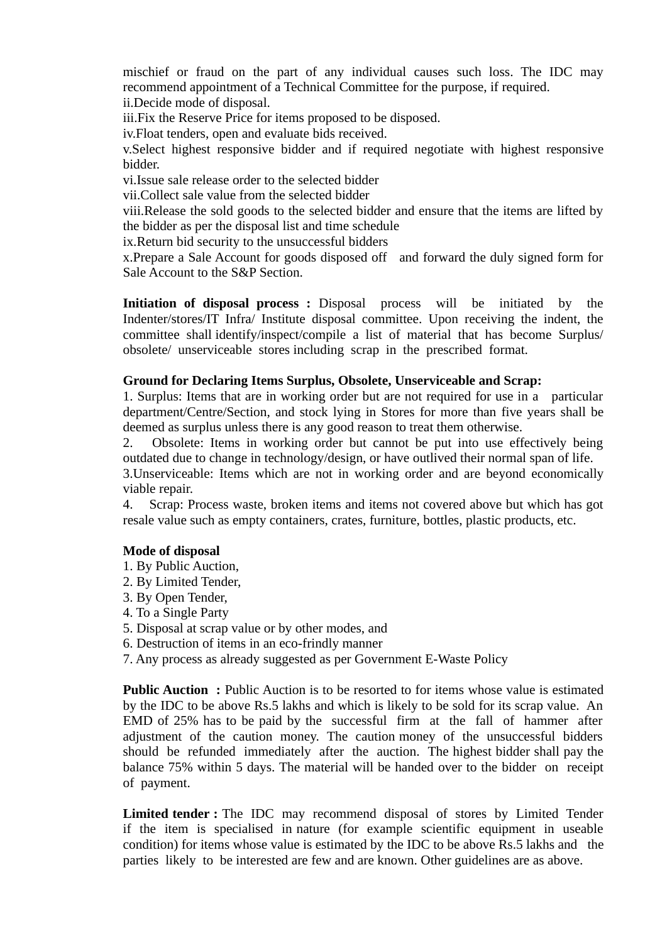mischief or fraud on the part of any individual causes such loss. The IDC may recommend appointment of a Technical Committee for the purpose, if required. ii.Decide mode of disposal.

iii.Fix the Reserve Price for items proposed to be disposed.

iv.Float tenders, open and evaluate bids received.

v.Select highest responsive bidder and if required negotiate with highest responsive bidder.

vi.Issue sale release order to the selected bidder

vii.Collect sale value from the selected bidder

viii.Release the sold goods to the selected bidder and ensure that the items are lifted by the bidder as per the disposal list and time schedule

ix.Return bid security to the unsuccessful bidders

x.Prepare a Sale Account for goods disposed off and forward the duly signed form for Sale Account to the S&P Section.

**Initiation of disposal process :** Disposal process will be initiated by the Indenter/stores/IT Infra/ Institute disposal committee. Upon receiving the indent, the committee shall identify/inspect/compile a list of material that has become Surplus/ obsolete/ unserviceable stores including scrap in the prescribed format.

## **Ground for Declaring Items Surplus, Obsolete, Unserviceable and Scrap:**

1. Surplus: Items that are in working order but are not required for use in a particular department/Centre/Section, and stock lying in Stores for more than five years shall be deemed as surplus unless there is any good reason to treat them otherwise.

2. Obsolete: Items in working order but cannot be put into use effectively being outdated due to change in technology/design, or have outlived their normal span of life.

3.Unserviceable: Items which are not in working order and are beyond economically viable repair.

4. Scrap: Process waste, broken items and items not covered above but which has got resale value such as empty containers, crates, furniture, bottles, plastic products, etc.

#### **Mode of disposal**

- 1. By Public Auction,
- 2. By Limited Tender,
- 3. By Open Tender,
- 4. To a Single Party
- 5. Disposal at scrap value or by other modes, and
- 6. Destruction of items in an eco-frindly manner
- 7. Any process as already suggested as per Government E-Waste Policy

**Public Auction :** Public Auction is to be resorted to for items whose value is estimated by the IDC to be above Rs.5 lakhs and which is likely to be sold for its scrap value. An EMD of 25% has to be paid by the successful firm at the fall of hammer after adjustment of the caution money. The caution money of the unsuccessful bidders should be refunded immediately after the auction. The highest bidder shall pay the balance 75% within 5 days. The material will be handed over to the bidder on receipt of payment.

**Limited tender :** The IDC may recommend disposal of stores by Limited Tender if the item is specialised in nature (for example scientific equipment in useable condition) for items whose value is estimated by the IDC to be above Rs.5 lakhs and the parties likely to be interested are few and are known. Other guidelines are as above.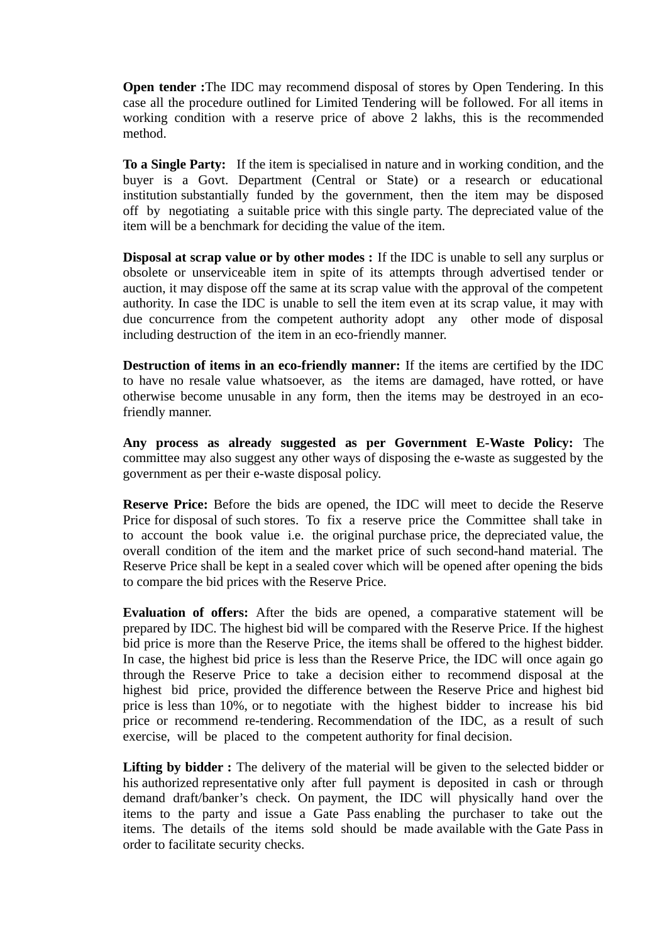**Open tender :**The IDC may recommend disposal of stores by Open Tendering. In this case all the procedure outlined for Limited Tendering will be followed. For all items in working condition with a reserve price of above 2 lakhs, this is the recommended method.

**To a Single Party:** If the item is specialised in nature and in working condition, and the buyer is a Govt. Department (Central or State) or a research or educational institution substantially funded by the government, then the item may be disposed off by negotiating a suitable price with this single party. The depreciated value of the item will be a benchmark for deciding the value of the item.

**Disposal at scrap value or by other modes :** If the IDC is unable to sell any surplus or obsolete or unserviceable item in spite of its attempts through advertised tender or auction, it may dispose off the same at its scrap value with the approval of the competent authority. In case the IDC is unable to sell the item even at its scrap value, it may with due concurrence from the competent authority adopt any other mode of disposal including destruction of the item in an eco-friendly manner.

**Destruction of items in an eco-friendly manner:** If the items are certified by the IDC to have no resale value whatsoever, as the items are damaged, have rotted, or have otherwise become unusable in any form, then the items may be destroyed in an ecofriendly manner.

**Any process as already suggested as per Government E-Waste Policy:** The committee may also suggest any other ways of disposing the e-waste as suggested by the government as per their e-waste disposal policy.

**Reserve Price:** Before the bids are opened, the IDC will meet to decide the Reserve Price for disposal of such stores. To fix a reserve price the Committee shall take in to account the book value i.e. the original purchase price, the depreciated value, the overall condition of the item and the market price of such second-hand material. The Reserve Price shall be kept in a sealed cover which will be opened after opening the bids to compare the bid prices with the Reserve Price.

**Evaluation of offers:** After the bids are opened, a comparative statement will be prepared by IDC. The highest bid will be compared with the Reserve Price. If the highest bid price is more than the Reserve Price, the items shall be offered to the highest bidder. In case, the highest bid price is less than the Reserve Price, the IDC will once again go through the Reserve Price to take a decision either to recommend disposal at the highest bid price, provided the difference between the Reserve Price and highest bid price is less than 10%, or to negotiate with the highest bidder to increase his bid price or recommend re-tendering. Recommendation of the IDC, as a result of such exercise, will be placed to the competent authority for final decision.

Lifting by bidder : The delivery of the material will be given to the selected bidder or his authorized representative only after full payment is deposited in cash or through demand draft/banker's check. On payment, the IDC will physically hand over the items to the party and issue a Gate Pass enabling the purchaser to take out the items. The details of the items sold should be made available with the Gate Pass in order to facilitate security checks.